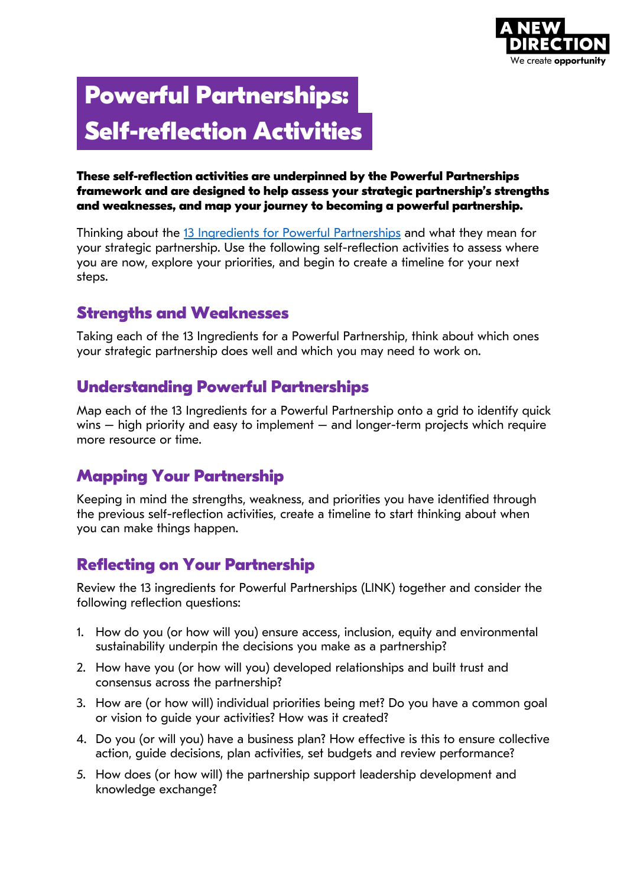

# **Powerful Partnerships: Self-reflection Activities**

#### **These self-reflection activities are underpinned by the Powerful Partnerships framework and are designed to help assess your strategic partnership's strengths and weaknesses, and map your journey to becoming a powerful partnership.**

Thinking about the [13 Ingredients for Powerful Partnerships](https://www.anewdirection.org.uk/asset/3612/download) and what they mean for your strategic partnership. Use the following self-reflection activities to assess where you are now, explore your priorities, and begin to create a timeline for your next steps.

### **Strengths and Weaknesses**

Taking each of the 13 Ingredients for a Powerful Partnership, think about which ones your strategic partnership does well and which you may need to work on.

### **Understanding Powerful Partnerships**

Map each of the 13 Ingredients for a Powerful Partnership onto a grid to identify quick wins – high priority and easy to implement – and longer-term projects which require more resource or time.

# **Mapping Your Partnership**

Keeping in mind the strengths, weakness, and priorities you have identified through the previous self-reflection activities, create a timeline to start thinking about when you can make things happen.

### **Reflecting on Your Partnership**

Review the 13 ingredients for Powerful Partnerships (LINK) together and consider the following reflection questions:

- 1. How do you (or how will you) ensure access, inclusion, equity and environmental sustainability underpin the decisions you make as a partnership?
- 2. How have you (or how will you) developed relationships and built trust and consensus across the partnership?
- 3. How are (or how will) individual priorities being met? Do you have a common goal or vision to guide your activities? How was it created?
- 4. Do you (or will you) have a business plan? How effective is this to ensure collective action, guide decisions, plan activities, set budgets and review performance?
- 5. How does (or how will) the partnership support leadership development and knowledge exchange?